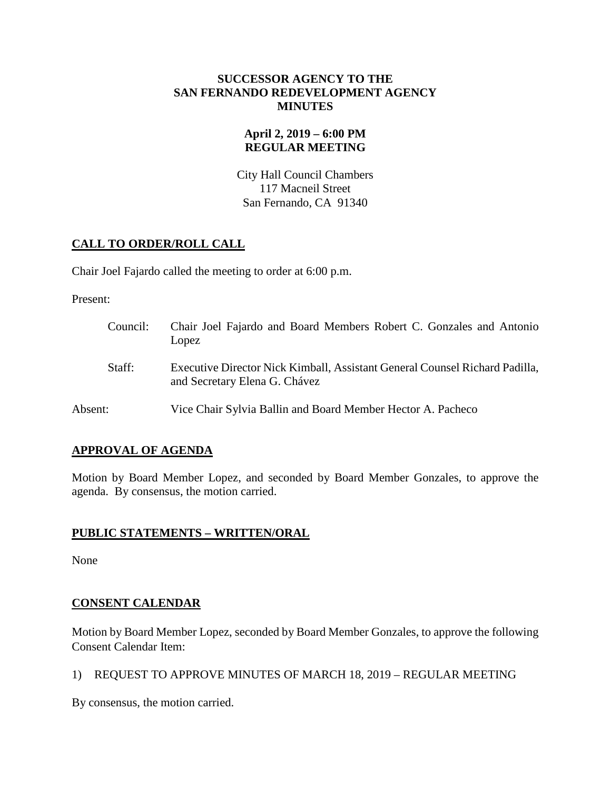## **SUCCESSOR AGENCY TO THE SAN FERNANDO REDEVELOPMENT AGENCY MINUTES**

# **April 2, 2019 – 6:00 PM REGULAR MEETING**

City Hall Council Chambers 117 Macneil Street San Fernando, CA 91340

# **CALL TO ORDER/ROLL CALL**

Chair Joel Fajardo called the meeting to order at 6:00 p.m.

Present:

| Council: | Chair Joel Fajardo and Board Members Robert C. Gonzales and Antonio<br>Lopez                                 |
|----------|--------------------------------------------------------------------------------------------------------------|
| Staff:   | Executive Director Nick Kimball, Assistant General Counsel Richard Padilla,<br>and Secretary Elena G. Chávez |
| Absent:  | Vice Chair Sylvia Ballin and Board Member Hector A. Pacheco                                                  |

# **APPROVAL OF AGENDA**

Motion by Board Member Lopez, and seconded by Board Member Gonzales, to approve the agenda. By consensus, the motion carried.

# **PUBLIC STATEMENTS – WRITTEN/ORAL**

None

# **CONSENT CALENDAR**

Motion by Board Member Lopez, seconded by Board Member Gonzales, to approve the following Consent Calendar Item:

1) REQUEST TO APPROVE MINUTES OF MARCH 18, 2019 – REGULAR MEETING

By consensus, the motion carried.